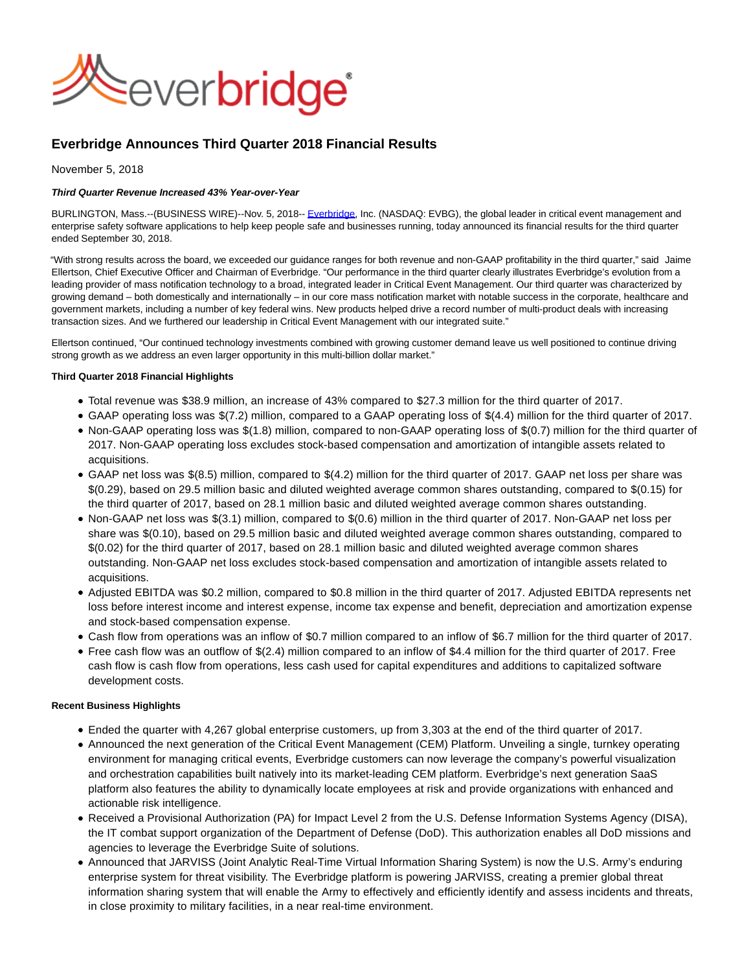

# **Everbridge Announces Third Quarter 2018 Financial Results**

November 5, 2018

## **Third Quarter Revenue Increased 43% Year-over-Year**

BURLINGTON, Mass.--(BUSINESS WIRE)--Nov. 5, 2018-- [Everbridge,](http://cts.businesswire.com/ct/CT?id=smartlink&url=http%3A%2F%2Fwww.everbridge.com%2F&esheet=51894530&newsitemid=20181105005963&lan=en-US&anchor=Everbridge&index=1&md5=94d2b0a2fe2845ed5e2f46ae0528cb20) Inc. (NASDAQ: EVBG), the global leader in critical event management and enterprise safety software applications to help keep people safe and businesses running, today announced its financial results for the third quarter ended September 30, 2018.

"With strong results across the board, we exceeded our guidance ranges for both revenue and non-GAAP profitability in the third quarter," said Jaime Ellertson, Chief Executive Officer and Chairman of Everbridge. "Our performance in the third quarter clearly illustrates Everbridge's evolution from a leading provider of mass notification technology to a broad, integrated leader in Critical Event Management. Our third quarter was characterized by growing demand – both domestically and internationally – in our core mass notification market with notable success in the corporate, healthcare and government markets, including a number of key federal wins. New products helped drive a record number of multi-product deals with increasing transaction sizes. And we furthered our leadership in Critical Event Management with our integrated suite."

Ellertson continued, "Our continued technology investments combined with growing customer demand leave us well positioned to continue driving strong growth as we address an even larger opportunity in this multi-billion dollar market."

## **Third Quarter 2018 Financial Highlights**

- Total revenue was \$38.9 million, an increase of 43% compared to \$27.3 million for the third quarter of 2017.
- GAAP operating loss was \$(7.2) million, compared to a GAAP operating loss of \$(4.4) million for the third quarter of 2017.
- Non-GAAP operating loss was \$(1.8) million, compared to non-GAAP operating loss of \$(0.7) million for the third quarter of 2017. Non-GAAP operating loss excludes stock-based compensation and amortization of intangible assets related to acquisitions.
- GAAP net loss was \$(8.5) million, compared to \$(4.2) million for the third quarter of 2017. GAAP net loss per share was \$(0.29), based on 29.5 million basic and diluted weighted average common shares outstanding, compared to \$(0.15) for the third quarter of 2017, based on 28.1 million basic and diluted weighted average common shares outstanding.
- Non-GAAP net loss was \$(3.1) million, compared to \$(0.6) million in the third quarter of 2017. Non-GAAP net loss per share was \$(0.10), based on 29.5 million basic and diluted weighted average common shares outstanding, compared to \$(0.02) for the third quarter of 2017, based on 28.1 million basic and diluted weighted average common shares outstanding. Non-GAAP net loss excludes stock-based compensation and amortization of intangible assets related to acquisitions.
- Adjusted EBITDA was \$0.2 million, compared to \$0.8 million in the third quarter of 2017. Adjusted EBITDA represents net loss before interest income and interest expense, income tax expense and benefit, depreciation and amortization expense and stock-based compensation expense.
- Cash flow from operations was an inflow of \$0.7 million compared to an inflow of \$6.7 million for the third quarter of 2017.
- Free cash flow was an outflow of \$(2.4) million compared to an inflow of \$4.4 million for the third quarter of 2017. Free cash flow is cash flow from operations, less cash used for capital expenditures and additions to capitalized software development costs.

## **Recent Business Highlights**

- Ended the quarter with 4,267 global enterprise customers, up from 3,303 at the end of the third quarter of 2017.
- Announced the next generation of the Critical Event Management (CEM) Platform. Unveiling a single, turnkey operating environment for managing critical events, Everbridge customers can now leverage the company's powerful visualization and orchestration capabilities built natively into its market-leading CEM platform. Everbridge's next generation SaaS platform also features the ability to dynamically locate employees at risk and provide organizations with enhanced and actionable risk intelligence.
- Received a Provisional Authorization (PA) for Impact Level 2 from the U.S. Defense Information Systems Agency (DISA), the IT combat support organization of the Department of Defense (DoD). This authorization enables all DoD missions and agencies to leverage the Everbridge Suite of solutions.
- Announced that JARVISS (Joint Analytic Real-Time Virtual Information Sharing System) is now the U.S. Army's enduring enterprise system for threat visibility. The Everbridge platform is powering JARVISS, creating a premier global threat information sharing system that will enable the Army to effectively and efficiently identify and assess incidents and threats, in close proximity to military facilities, in a near real-time environment.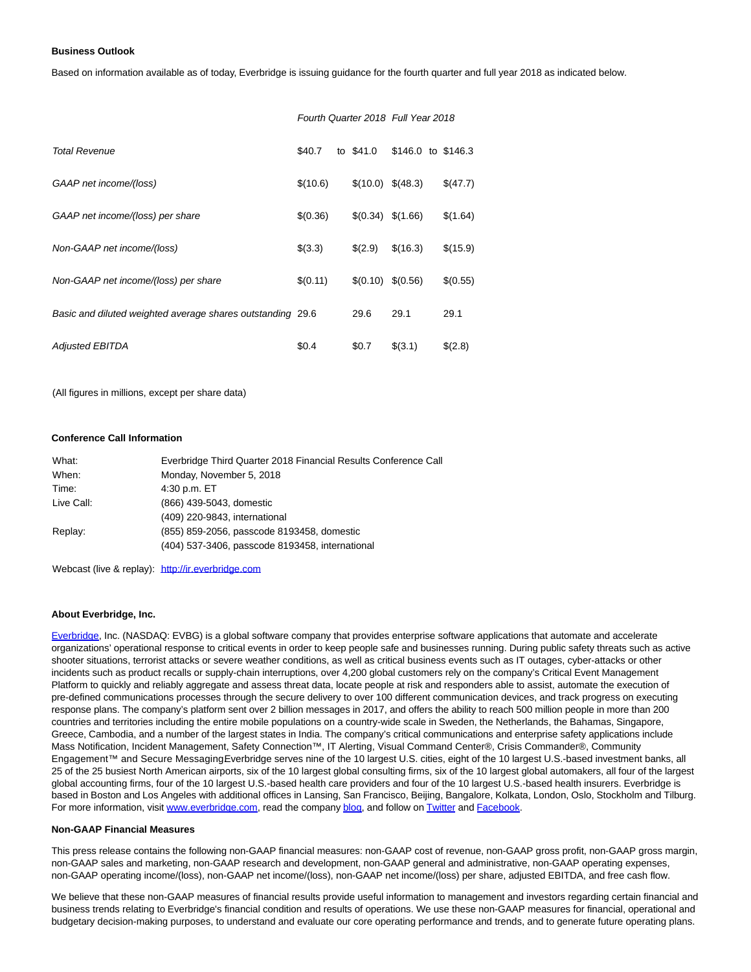#### **Business Outlook**

Based on information available as of today, Everbridge is issuing guidance for the fourth quarter and full year 2018 as indicated below.

|                                                            |          |                    | Fourth Quarter 2018 Full Year 2018 |          |
|------------------------------------------------------------|----------|--------------------|------------------------------------|----------|
| <b>Total Revenue</b>                                       | \$40.7   | to \$41.0          | \$146.0 to \$146.3                 |          |
| GAAP net income/(loss)                                     | \$(10.6) | $$(10.0) \$(48.3)$ |                                    | \$(47.7) |
| GAAP net income/(loss) per share                           | \$(0.36) | \$(0.34)           | \$(1.66)                           | \$(1.64) |
| Non-GAAP net income/(loss)                                 | \$(3.3)  | \$(2.9)            | \$(16.3)                           | \$(15.9) |
| Non-GAAP net income/(loss) per share                       | \$(0.11) | \$(0.10)           | \$(0.56)                           | \$(0.55) |
| Basic and diluted weighted average shares outstanding 29.6 |          | 29.6               | 29.1                               | 29.1     |
| <b>Adjusted EBITDA</b>                                     | \$0.4    | \$0.7              | \$(3.1)                            | \$(2.8)  |

(All figures in millions, except per share data)

### **Conference Call Information**

| What:      | Everbridge Third Quarter 2018 Financial Results Conference Call |
|------------|-----------------------------------------------------------------|
| When:      | Monday, November 5, 2018                                        |
| Time:      | 4:30 p.m. ET                                                    |
| Live Call: | (866) 439-5043, domestic                                        |
|            | (409) 220-9843, international                                   |
| Replay:    | (855) 859-2056, passcode 8193458, domestic                      |
|            | (404) 537-3406, passcode 8193458, international                 |

Webcast (live & replay): [http://ir.everbridge.com](http://cts.businesswire.com/ct/CT?id=smartlink&url=http%3A%2F%2Fir.everbridge.com&esheet=51894530&newsitemid=20181105005963&lan=en-US&anchor=http%3A%2F%2Fir.everbridge.com&index=2&md5=52cff2c1178908d993e5ea29d29eaf77)

#### **About Everbridge, Inc.**

[Everbridge,](http://cts.businesswire.com/ct/CT?id=smartlink&url=http%3A%2F%2Fwww.everbridge.com%2F&esheet=51894530&newsitemid=20181105005963&lan=en-US&anchor=Everbridge&index=3&md5=99507f1ef7d32e6402279a799c994587) Inc. (NASDAQ: EVBG) is a global software company that provides enterprise software applications that automate and accelerate organizations' operational response to critical events in order to keep people safe and businesses running. During public safety threats such as active shooter situations, terrorist attacks or severe weather conditions, as well as critical business events such as IT outages, cyber-attacks or other incidents such as product recalls or supply-chain interruptions, over 4,200 global customers rely on the company's Critical Event Management Platform to quickly and reliably aggregate and assess threat data, locate people at risk and responders able to assist, automate the execution of pre-defined communications processes through the secure delivery to over 100 different communication devices, and track progress on executing response plans. The company's platform sent over 2 billion messages in 2017, and offers the ability to reach 500 million people in more than 200 countries and territories including the entire mobile populations on a country-wide scale in Sweden, the Netherlands, the Bahamas, Singapore, Greece, Cambodia, and a number of the largest states in India. The company's critical communications and enterprise safety applications include Mass Notification, Incident Management, Safety Connection™, IT Alerting, Visual Command Center®, Crisis Commander®, Community Engagement™ and Secure Messaging Everbridge serves nine of the 10 largest U.S. cities, eight of the 10 largest U.S.-based investment banks, all 25 of the 25 busiest North American airports, six of the 10 largest global consulting firms, six of the 10 largest global automakers, all four of the largest global accounting firms, four of the 10 largest U.S.-based health care providers and four of the 10 largest U.S.-based health insurers. Everbridge is based in Boston and Los Angeles with additional offices in Lansing, San Francisco, Beijing, Bangalore, Kolkata, London, Oslo, Stockholm and Tilburg. For more information, visit [www.everbridge.com,](http://cts.businesswire.com/ct/CT?id=smartlink&url=http%3A%2F%2Fwww.everbridge.com&esheet=51894530&newsitemid=20181105005963&lan=en-US&anchor=www.everbridge.com&index=4&md5=95186c719ff8d8ba42ec73c1de34e597) read the company [blog,](http://cts.businesswire.com/ct/CT?id=smartlink&url=http%3A%2F%2Fwww.everbridge.com%2Fresources%2Fblog%2F&esheet=51894530&newsitemid=20181105005963&lan=en-US&anchor=blog&index=5&md5=f9cf24aed0a5ab77c75223309fdd59d6) and follow on [Twitter a](http://cts.businesswire.com/ct/CT?id=smartlink&url=https%3A%2F%2Ftwitter.com%2FEverbridge&esheet=51894530&newsitemid=20181105005963&lan=en-US&anchor=Twitter&index=6&md5=9698b2b2e5aced1505649a7664965ed6)nd [Facebook.](http://cts.businesswire.com/ct/CT?id=smartlink&url=https%3A%2F%2Fwww.facebook.com%2Feverbridgeinc&esheet=51894530&newsitemid=20181105005963&lan=en-US&anchor=Facebook&index=7&md5=793788d17a4839310d93e7e06f7042de)

## **Non-GAAP Financial Measures**

This press release contains the following non-GAAP financial measures: non-GAAP cost of revenue, non-GAAP gross profit, non-GAAP gross margin, non-GAAP sales and marketing, non-GAAP research and development, non-GAAP general and administrative, non-GAAP operating expenses, non-GAAP operating income/(loss), non-GAAP net income/(loss), non-GAAP net income/(loss) per share, adjusted EBITDA, and free cash flow.

We believe that these non-GAAP measures of financial results provide useful information to management and investors regarding certain financial and business trends relating to Everbridge's financial condition and results of operations. We use these non-GAAP measures for financial, operational and budgetary decision-making purposes, to understand and evaluate our core operating performance and trends, and to generate future operating plans.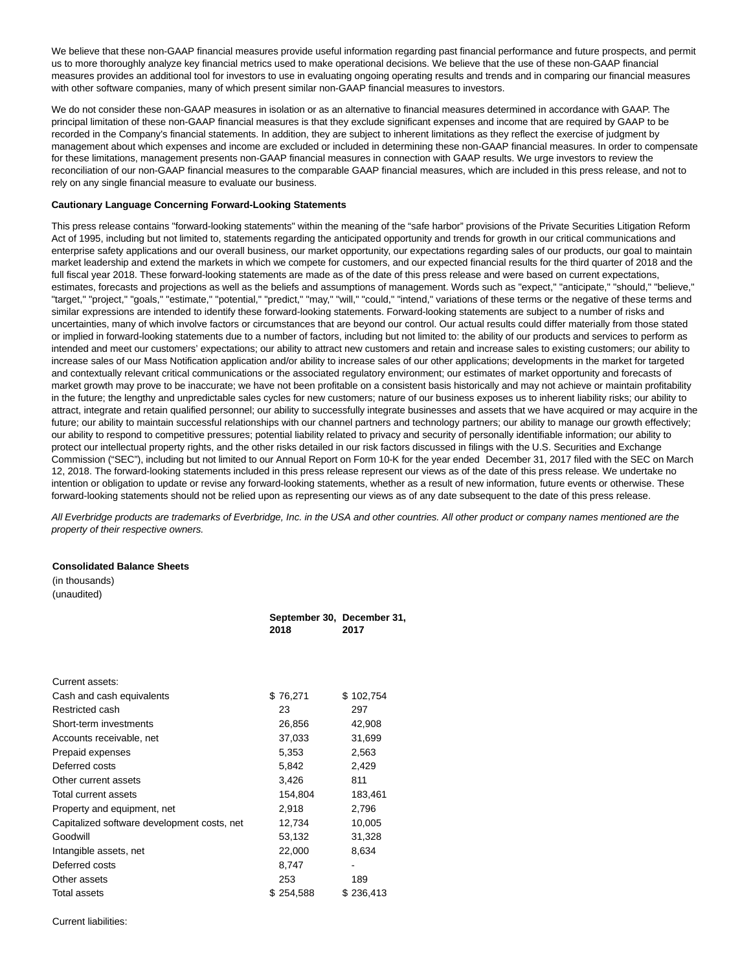We believe that these non-GAAP financial measures provide useful information regarding past financial performance and future prospects, and permit us to more thoroughly analyze key financial metrics used to make operational decisions. We believe that the use of these non-GAAP financial measures provides an additional tool for investors to use in evaluating ongoing operating results and trends and in comparing our financial measures with other software companies, many of which present similar non-GAAP financial measures to investors.

We do not consider these non-GAAP measures in isolation or as an alternative to financial measures determined in accordance with GAAP. The principal limitation of these non-GAAP financial measures is that they exclude significant expenses and income that are required by GAAP to be recorded in the Company's financial statements. In addition, they are subject to inherent limitations as they reflect the exercise of judgment by management about which expenses and income are excluded or included in determining these non-GAAP financial measures. In order to compensate for these limitations, management presents non-GAAP financial measures in connection with GAAP results. We urge investors to review the reconciliation of our non-GAAP financial measures to the comparable GAAP financial measures, which are included in this press release, and not to rely on any single financial measure to evaluate our business.

#### **Cautionary Language Concerning Forward-Looking Statements**

This press release contains "forward-looking statements" within the meaning of the "safe harbor" provisions of the Private Securities Litigation Reform Act of 1995, including but not limited to, statements regarding the anticipated opportunity and trends for growth in our critical communications and enterprise safety applications and our overall business, our market opportunity, our expectations regarding sales of our products, our goal to maintain market leadership and extend the markets in which we compete for customers, and our expected financial results for the third quarter of 2018 and the full fiscal year 2018. These forward-looking statements are made as of the date of this press release and were based on current expectations, estimates, forecasts and projections as well as the beliefs and assumptions of management. Words such as "expect," "anticipate," "should," "believe," "target," "project," "goals," "estimate," "potential," "predict," "may," "will," "could," "intend," variations of these terms or the negative of these terms and similar expressions are intended to identify these forward-looking statements. Forward-looking statements are subject to a number of risks and uncertainties, many of which involve factors or circumstances that are beyond our control. Our actual results could differ materially from those stated or implied in forward-looking statements due to a number of factors, including but not limited to: the ability of our products and services to perform as intended and meet our customers' expectations; our ability to attract new customers and retain and increase sales to existing customers; our ability to increase sales of our Mass Notification application and/or ability to increase sales of our other applications; developments in the market for targeted and contextually relevant critical communications or the associated regulatory environment; our estimates of market opportunity and forecasts of market growth may prove to be inaccurate; we have not been profitable on a consistent basis historically and may not achieve or maintain profitability in the future; the lengthy and unpredictable sales cycles for new customers; nature of our business exposes us to inherent liability risks; our ability to attract, integrate and retain qualified personnel; our ability to successfully integrate businesses and assets that we have acquired or may acquire in the future; our ability to maintain successful relationships with our channel partners and technology partners; our ability to manage our growth effectively; our ability to respond to competitive pressures; potential liability related to privacy and security of personally identifiable information; our ability to protect our intellectual property rights, and the other risks detailed in our risk factors discussed in filings with the U.S. Securities and Exchange Commission ("SEC"), including but not limited to our Annual Report on Form 10-K for the year ended December 31, 2017 filed with the SEC on March 12, 2018. The forward-looking statements included in this press release represent our views as of the date of this press release. We undertake no intention or obligation to update or revise any forward-looking statements, whether as a result of new information, future events or otherwise. These forward-looking statements should not be relied upon as representing our views as of any date subsequent to the date of this press release.

All Everbridge products are trademarks of Everbridge, Inc. in the USA and other countries. All other product or company names mentioned are the property of their respective owners.

## **Consolidated Balance Sheets**

(in thousands) (unaudited)

|                                             | September 30, December 31,<br>2018 | 2017      |
|---------------------------------------------|------------------------------------|-----------|
|                                             |                                    |           |
| Current assets:                             |                                    |           |
| Cash and cash equivalents                   | \$76,271                           | \$102,754 |
| Restricted cash                             | 23                                 | 297       |
| Short-term investments                      | 26,856                             | 42,908    |
| Accounts receivable, net                    | 37,033                             | 31,699    |
| Prepaid expenses                            | 5,353                              | 2,563     |
| Deferred costs                              | 5,842                              | 2,429     |
| Other current assets                        | 3,426                              | 811       |
| Total current assets                        | 154,804                            | 183,461   |
| Property and equipment, net                 | 2,918                              | 2,796     |
| Capitalized software development costs, net | 12,734                             | 10,005    |
| Goodwill                                    | 53,132                             | 31,328    |
| Intangible assets, net                      | 22,000                             | 8,634     |
| Deferred costs                              | 8,747                              |           |
| Other assets                                | 253                                | 189       |
| Total assets                                | \$254,588                          | \$236,413 |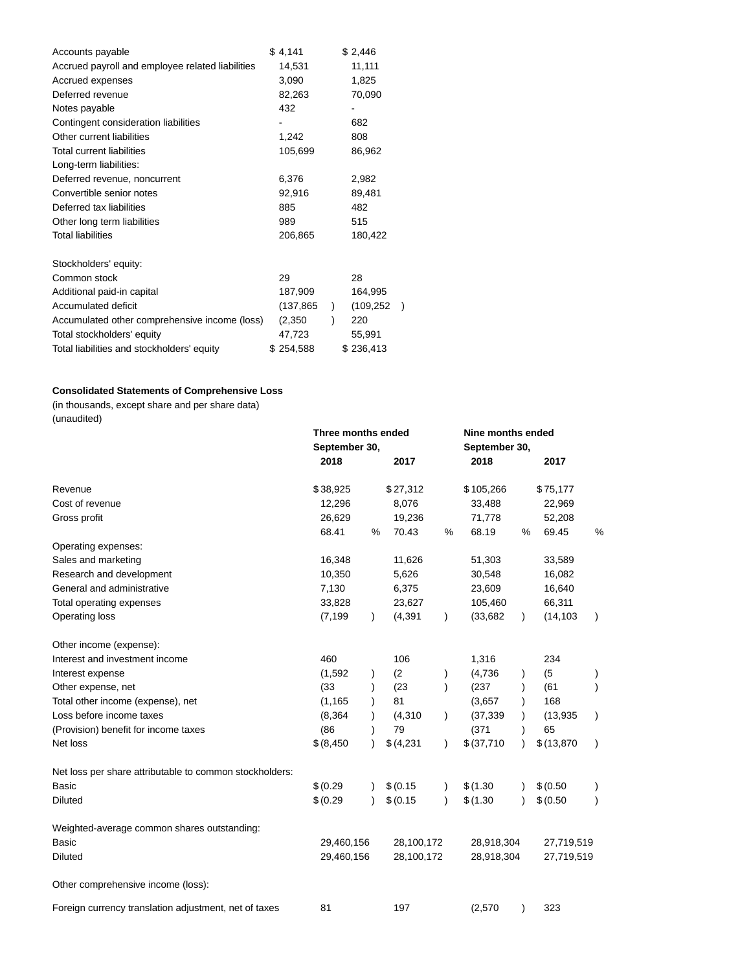| Accounts payable                                 | \$4,141   | \$2,446    |               |
|--------------------------------------------------|-----------|------------|---------------|
| Accrued payroll and employee related liabilities | 14,531    | 11,111     |               |
| Accrued expenses                                 | 3,090     | 1,825      |               |
| Deferred revenue                                 | 82,263    | 70,090     |               |
| Notes payable                                    | 432       |            |               |
| Contingent consideration liabilities             |           | 682        |               |
| Other current liabilities                        | 1,242     | 808        |               |
| <b>Total current liabilities</b>                 | 105,699   | 86,962     |               |
| Long-term liabilities:                           |           |            |               |
| Deferred revenue, noncurrent                     | 6,376     | 2,982      |               |
| Convertible senior notes                         | 92,916    | 89,481     |               |
| Deferred tax liabilities                         | 885       | 482        |               |
| Other long term liabilities                      | 989       | 515        |               |
| <b>Total liabilities</b>                         | 206,865   | 180,422    |               |
| Stockholders' equity:                            |           |            |               |
| Common stock                                     | 29        | 28         |               |
| Additional paid-in capital                       | 187,909   | 164,995    |               |
| Accumulated deficit                              | (137,865  | (109, 252) | $\mathcal{E}$ |
| Accumulated other comprehensive income (loss)    | (2,350)   | 220        |               |
| Total stockholders' equity                       | 47,723    | 55,991     |               |
| Total liabilities and stockholders' equity       | \$254,588 | \$236,413  |               |

# **Consolidated Statements of Comprehensive Loss**

(in thousands, except share and per share data) (unaudited)

| $($ unuuunuu                                            | Three months ended<br>September 30, |           |            |               | Nine months ended<br>September 30, |   |             |           |
|---------------------------------------------------------|-------------------------------------|-----------|------------|---------------|------------------------------------|---|-------------|-----------|
|                                                         | 2018                                |           | 2017       |               | 2018                               |   | 2017        |           |
| Revenue                                                 | \$38,925                            |           | \$27,312   |               | \$105,266                          |   | \$75,177    |           |
| Cost of revenue                                         | 12,296                              |           | 8,076      |               | 33,488                             |   | 22,969      |           |
| Gross profit                                            | 26,629                              |           | 19,236     |               | 71,778                             |   | 52,208      |           |
|                                                         | 68.41                               | %         | 70.43      | %             | 68.19                              | % | 69.45       | %         |
| Operating expenses:                                     |                                     |           |            |               |                                    |   |             |           |
| Sales and marketing                                     | 16,348                              |           | 11,626     |               | 51,303                             |   | 33,589      |           |
| Research and development                                | 10,350                              |           | 5,626      |               | 30,548                             |   | 16,082      |           |
| General and administrative                              | 7,130                               |           | 6,375      |               | 23,609                             |   | 16,640      |           |
| Total operating expenses                                | 33,828                              |           | 23,627     |               | 105,460                            |   | 66,311      |           |
| Operating loss                                          | (7, 199)                            | $\lambda$ | (4, 391)   | $\lambda$     | (33, 682)                          |   | (14, 103)   | $\lambda$ |
| Other income (expense):                                 |                                     |           |            |               |                                    |   |             |           |
| Interest and investment income                          | 460                                 |           | 106        |               | 1,316                              |   | 234         |           |
| Interest expense                                        | (1, 592)                            |           | (2)        |               | (4,736)                            |   | (5)         |           |
| Other expense, net                                      | (33)                                |           | (23)       |               | (237)                              |   | (61)        |           |
| Total other income (expense), net                       | (1, 165)                            |           | 81         |               | (3,657)                            |   | 168         |           |
| Loss before income taxes                                | (8, 364)                            |           | (4, 310)   |               | (37, 339)                          |   | (13, 935)   | $\lambda$ |
| (Provision) benefit for income taxes                    | (86)                                |           | 79         |               | (371)                              |   | 65          |           |
| Net loss                                                | \$ (8, 450)                         |           | \$ (4,231) | $\lambda$     | \$ (37,710)                        |   | \$(13, 870) | $\lambda$ |
| Net loss per share attributable to common stockholders: |                                     |           |            |               |                                    |   |             |           |
| Basic                                                   | \$ (0.29)                           |           | \$ (0.15)  | $\mathcal{L}$ | \$(1.30)                           |   | \$ (0.50)   |           |
| <b>Diluted</b>                                          | \$ (0.29)                           | $\lambda$ | \$ (0.15)  | $\lambda$     | \$(1.30)                           |   | \$ (0.50)   | $\lambda$ |
| Weighted-average common shares outstanding:             |                                     |           |            |               |                                    |   |             |           |
| Basic                                                   | 29,460,156                          |           | 28,100,172 |               | 28,918,304                         |   | 27,719,519  |           |
| <b>Diluted</b>                                          | 29,460,156                          |           | 28,100,172 |               | 28,918,304                         |   | 27,719,519  |           |
| Other comprehensive income (loss):                      |                                     |           |            |               |                                    |   |             |           |
| Foreign currency translation adjustment, net of taxes   | 81                                  |           | 197        |               | (2,570)                            |   | 323         |           |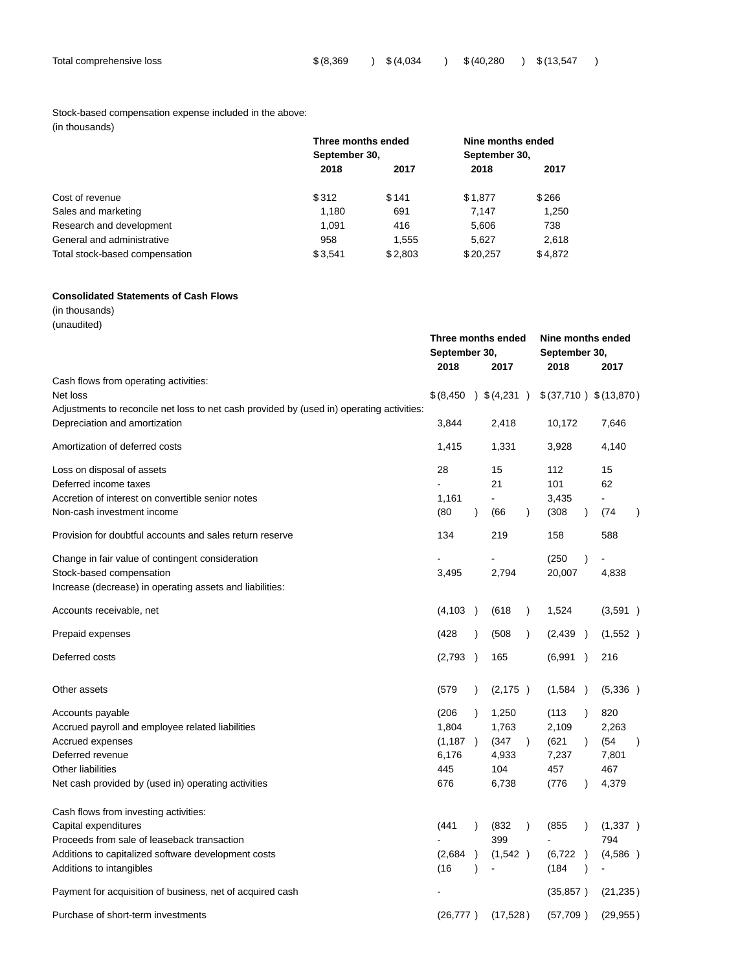# Stock-based compensation expense included in the above:

| (in thousands) |  |
|----------------|--|
|----------------|--|

|                                | Three months ended | Nine months ended |          |         |  |
|--------------------------------|--------------------|-------------------|----------|---------|--|
|                                | September 30,      | September 30,     |          |         |  |
|                                | 2018               | 2017              | 2018     | 2017    |  |
| Cost of revenue                | \$312              | \$141             | \$1,877  | \$266   |  |
| Sales and marketing            | 1,180              | 691               | 7.147    | 1,250   |  |
| Research and development       | 1.091              | 416               | 5.606    | 738     |  |
| General and administrative     | 958                | 1.555             | 5.627    | 2,618   |  |
| Total stock-based compensation | \$3.541            | \$2.803           | \$20.257 | \$4.872 |  |

# **Consolidated Statements of Cash Flows**

(in thousands)

(unaudited)

|                                                                                           |                       |               | Three months ended<br>September 30,<br>2017 |               | Nine months ended<br>September 30,<br>2018<br>2017 |               |                |           |
|-------------------------------------------------------------------------------------------|-----------------------|---------------|---------------------------------------------|---------------|----------------------------------------------------|---------------|----------------|-----------|
| Cash flows from operating activities:                                                     |                       |               |                                             |               |                                                    |               |                |           |
| Net loss                                                                                  | $$(8,450)$ $$(4,231)$ |               |                                             |               | \$(37,710) \$(13,870)                              |               |                |           |
| Adjustments to reconcile net loss to net cash provided by (used in) operating activities: |                       |               |                                             |               |                                                    |               |                |           |
| Depreciation and amortization                                                             | 3,844                 |               | 2,418                                       |               | 10,172                                             |               | 7,646          |           |
| Amortization of deferred costs                                                            | 1,415                 |               | 1,331                                       |               | 3,928                                              |               | 4,140          |           |
| Loss on disposal of assets                                                                | 28                    |               | 15                                          |               | 112                                                |               | 15             |           |
| Deferred income taxes                                                                     |                       |               | 21                                          |               | 101                                                |               | 62             |           |
| Accretion of interest on convertible senior notes                                         | 1,161                 |               |                                             |               | 3,435                                              |               |                |           |
| Non-cash investment income                                                                | (80)                  | $\lambda$     | (66                                         | $\lambda$     | (308)                                              | $\lambda$     | (74            | $\lambda$ |
| Provision for doubtful accounts and sales return reserve                                  | 134                   |               | 219                                         |               | 158                                                |               | 588            |           |
| Change in fair value of contingent consideration                                          |                       |               |                                             |               | (250)                                              | $\mathcal{E}$ |                |           |
| Stock-based compensation                                                                  | 3,495                 |               | 2,794                                       |               | 20,007                                             |               | 4,838          |           |
| Increase (decrease) in operating assets and liabilities:                                  |                       |               |                                             |               |                                                    |               |                |           |
| Accounts receivable, net                                                                  | (4, 103)              | $\rightarrow$ | (618)                                       | $\lambda$     | 1,524                                              |               | (3,591)        |           |
| Prepaid expenses                                                                          | (428)                 | $\lambda$     | (508)                                       | $\mathcal{L}$ | (2, 439)                                           |               | (1,552)        |           |
| Deferred costs                                                                            | (2,793)               | $\rightarrow$ | 165                                         |               | (6,991)                                            | $\rightarrow$ | 216            |           |
| Other assets                                                                              | (579)                 | $\lambda$     | (2, 175)                                    |               | (1,584)                                            |               | (5,336)        |           |
| Accounts payable                                                                          | (206)                 | $\lambda$     | 1,250                                       |               | (113)                                              | $\lambda$     | 820            |           |
| Accrued payroll and employee related liabilities                                          | 1,804                 |               | 1,763                                       |               | 2,109                                              |               | 2,263          |           |
| Accrued expenses                                                                          | (1, 187)              |               | (347                                        | $\mathcal{L}$ | (621)                                              | $\lambda$     | (54)           | $\lambda$ |
| Deferred revenue                                                                          | 6,176                 |               | 4,933                                       |               | 7,237                                              |               | 7,801          |           |
| Other liabilities                                                                         | 445                   |               | 104                                         |               | 457                                                |               | 467            |           |
| Net cash provided by (used in) operating activities                                       | 676                   |               | 6,738                                       |               | (776)                                              | $\lambda$     | 4,379          |           |
| Cash flows from investing activities:                                                     |                       |               |                                             |               |                                                    |               |                |           |
| Capital expenditures                                                                      | (441)                 | $\lambda$     | (832)                                       | $\lambda$     | (855)                                              |               | (1,337)        |           |
| Proceeds from sale of leaseback transaction                                               |                       |               | 399                                         |               |                                                    |               | 794            |           |
| Additions to capitalized software development costs                                       | (2,684)               | $\lambda$     | (1, 542)                                    |               | (6, 722)                                           | $\rightarrow$ | (4,586)        |           |
| Additions to intangibles                                                                  | (16)                  | $\lambda$     |                                             |               | (184)                                              | $\lambda$     | $\blacksquare$ |           |
| Payment for acquisition of business, net of acquired cash                                 |                       |               |                                             |               | (35, 857)                                          |               | (21, 235)      |           |
| Purchase of short-term investments                                                        | (26, 777)             |               | (17,528)                                    |               | (57,709)                                           |               | (29, 955)      |           |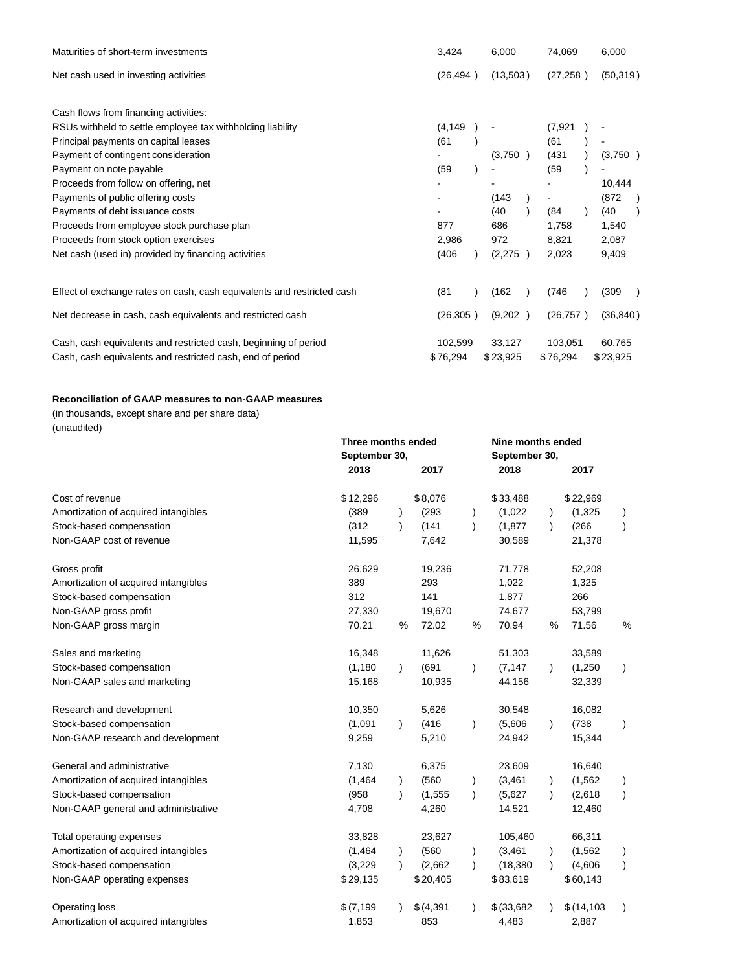| Maturities of short-term investments                                   | 3,424     |          | 74,069    | 6,000     |  |
|------------------------------------------------------------------------|-----------|----------|-----------|-----------|--|
| Net cash used in investing activities                                  | (26, 494) | (13,503) | (27, 258) | (50, 319) |  |
| Cash flows from financing activities:                                  |           |          |           |           |  |
| RSUs withheld to settle employee tax withholding liability             | (4, 149)  |          | (7, 921)  |           |  |
| Principal payments on capital leases                                   | (61)      |          | (61)      |           |  |
| Payment of contingent consideration                                    |           | (3,750)  | (431)     | (3,750)   |  |
| Payment on note payable                                                | (59)      |          | (59)      |           |  |
| Proceeds from follow on offering, net                                  |           |          |           | 10,444    |  |
| Payments of public offering costs                                      |           | (143)    |           | (872)     |  |
| Payments of debt issuance costs                                        |           | (40      | (84)      | (40)      |  |
| Proceeds from employee stock purchase plan                             | 877       | 686      | 1,758     | 1,540     |  |
| Proceeds from stock option exercises                                   | 2,986     | 972      | 8,821     | 2,087     |  |
| Net cash (used in) provided by financing activities                    | (406)     | (2,275)  | 2,023     | 9,409     |  |
| Effect of exchange rates on cash, cash equivalents and restricted cash | (81)      | (162)    | (746)     | (309)     |  |
| Net decrease in cash, cash equivalents and restricted cash             | (26, 305) | (9,202)  | (26, 757) | (36, 840) |  |
| Cash, cash equivalents and restricted cash, beginning of period        | 102,599   | 33,127   | 103,051   | 60,765    |  |
| Cash, cash equivalents and restricted cash, end of period              | \$76,294  | \$23,925 | \$76,294  | \$23,925  |  |

# **Reconciliation of GAAP measures to non-GAAP measures**

(in thousands, except share and per share data) (unaudited)

|                                      |            | Three months ended<br>September 30, |            |               | Nine months ended<br>September 30, |           |             |               |  |
|--------------------------------------|------------|-------------------------------------|------------|---------------|------------------------------------|-----------|-------------|---------------|--|
|                                      | 2018       |                                     | 2017       |               | 2018                               |           | 2017        |               |  |
| Cost of revenue                      | \$12,296   |                                     | \$8,076    |               | \$33,488                           |           | \$22,969    |               |  |
| Amortization of acquired intangibles | (389)      |                                     | (293)      |               | (1,022)                            |           | (1, 325)    |               |  |
| Stock-based compensation             | (312)      | $\lambda$                           | (141)      | $\lambda$     | (1, 877)                           | $\lambda$ | (266)       | $\lambda$     |  |
| Non-GAAP cost of revenue             | 11,595     |                                     | 7,642      |               | 30,589                             |           | 21,378      |               |  |
| Gross profit                         | 26,629     |                                     | 19,236     |               | 71,778                             |           | 52,208      |               |  |
| Amortization of acquired intangibles | 389        |                                     | 293        |               | 1,022                              |           | 1,325       |               |  |
| Stock-based compensation             | 312        |                                     | 141        |               | 1,877                              |           | 266         |               |  |
| Non-GAAP gross profit                | 27,330     |                                     | 19,670     |               | 74,677                             |           | 53,799      |               |  |
| Non-GAAP gross margin                | 70.21      | %                                   | 72.02      | %             | 70.94                              | %         | 71.56       | %             |  |
| Sales and marketing                  | 16,348     |                                     | 11,626     |               | 51,303                             |           | 33,589      |               |  |
| Stock-based compensation             | (1, 180)   |                                     | (691)      | $\lambda$     | (7, 147)                           | $\lambda$ | (1,250)     | $\lambda$     |  |
| Non-GAAP sales and marketing         | 15,168     |                                     | 10,935     |               | 44,156                             |           | 32,339      |               |  |
| Research and development             | 10,350     |                                     | 5,626      |               | 30,548                             |           | 16,082      |               |  |
| Stock-based compensation             | (1,091)    | $\lambda$                           | (416)      | $\lambda$     | (5,606)                            | $\lambda$ | (738)       | $\lambda$     |  |
| Non-GAAP research and development    | 9,259      |                                     | 5,210      |               | 24,942                             |           | 15,344      |               |  |
| General and administrative           | 7,130      |                                     | 6,375      |               | 23,609                             |           | 16,640      |               |  |
| Amortization of acquired intangibles | (1, 464)   |                                     | (560)      | $\mathcal{E}$ | (3, 461)                           | $\lambda$ | (1, 562)    | $\lambda$     |  |
| Stock-based compensation             | (958)      |                                     | (1, 555)   | $\lambda$     | (5,627)                            | $\lambda$ | (2,618)     | $\lambda$     |  |
| Non-GAAP general and administrative  | 4,708      |                                     | 4,260      |               | 14,521                             |           | 12,460      |               |  |
| Total operating expenses             | 33,828     |                                     | 23,627     |               | 105,460                            |           | 66,311      |               |  |
| Amortization of acquired intangibles | (1, 464)   |                                     | (560)      | $\lambda$     | (3, 461)                           |           | (1, 562)    | $\mathcal{C}$ |  |
| Stock-based compensation             | (3,229)    |                                     | (2,662)    | $\lambda$     | (18, 380)                          | $\lambda$ | (4,606)     | $\mathcal{L}$ |  |
| Non-GAAP operating expenses          | \$29,135   |                                     | \$20,405   |               | \$83,619                           |           | \$60,143    |               |  |
| Operating loss                       | \$(7, 199) |                                     | \$ (4,391) |               | \$ (33,682)                        |           | \$(14, 103) | $\lambda$     |  |
| Amortization of acquired intangibles | 1,853      |                                     | 853        |               | 4,483                              |           | 2,887       |               |  |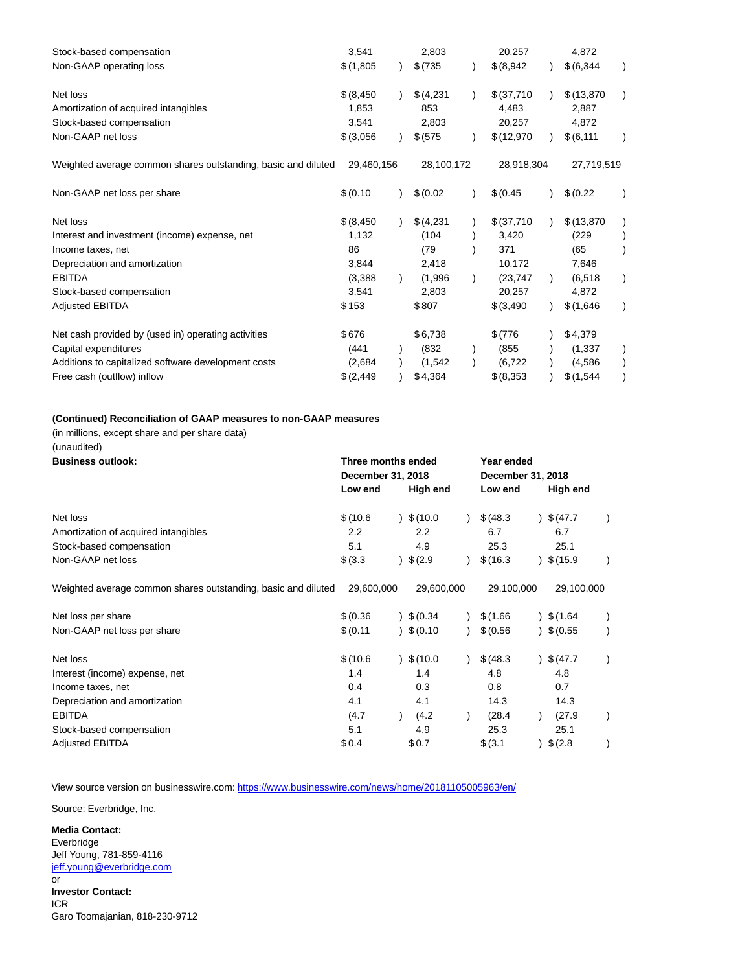| Stock-based compensation                                      | 3,541       | 2,803      | 20,257      | 4,872       |  |
|---------------------------------------------------------------|-------------|------------|-------------|-------------|--|
| Non-GAAP operating loss                                       | \$(1,805)   | \$ (735)   | \$ (8,942)  | \$ (6,344)  |  |
| Net loss                                                      | \$ (8, 450) | \$(4,231)  | \$ (37,710) | \$(13, 870) |  |
| Amortization of acquired intangibles                          | 1,853       | 853        | 4,483       | 2,887       |  |
| Stock-based compensation                                      | 3,541       | 2,803      | 20,257      | 4,872       |  |
| Non-GAAP net loss                                             | \$ (3,056)  | \$ (575)   | \$(12,970)  | \$ (6, 111) |  |
| Weighted average common shares outstanding, basic and diluted | 29,460,156  | 28,100,172 | 28,918,304  | 27,719,519  |  |
| Non-GAAP net loss per share                                   | \$ (0.10)   | \$ (0.02)  | \$ (0.45)   | \$ (0.22)   |  |
| Net loss                                                      | \$ (8, 450) | \$ (4,231) | \$ (37,710) | \$(13, 870) |  |
| Interest and investment (income) expense, net                 | 1,132       | (104)      | 3,420       | (229)       |  |
| Income taxes, net                                             | 86          | (79)       | 371         | (65)        |  |
| Depreciation and amortization                                 | 3,844       | 2,418      | 10,172      | 7,646       |  |
| <b>EBITDA</b>                                                 | (3,388)     | (1,996)    | (23, 747)   | (6, 518)    |  |
| Stock-based compensation                                      | 3,541       | 2,803      | 20,257      | 4,872       |  |
| <b>Adjusted EBITDA</b>                                        | \$153       | \$807      | \$ (3,490)  | \$(1,646)   |  |
| Net cash provided by (used in) operating activities           | \$676       | \$6,738    | \$ (776)    | \$4,379     |  |
| Capital expenditures                                          | (441)       | (832)      | (855)       | (1, 337)    |  |
| Additions to capitalized software development costs           | (2,684)     | (1,542)    | (6, 722)    | (4,586)     |  |
| Free cash (outflow) inflow                                    | \$(2, 449)  | \$4,364    | \$ (8,353)  | \$(1,544)   |  |

# **(Continued) Reconciliation of GAAP measures to non-GAAP measures**

(in millions, except share and per share data)

(unaudited)

| <b>Business outlook:</b>                                      | Three months ended |  |            | Year ended |                   |  |                    |  |  |
|---------------------------------------------------------------|--------------------|--|------------|------------|-------------------|--|--------------------|--|--|
|                                                               | December 31, 2018  |  |            |            | December 31, 2018 |  |                    |  |  |
|                                                               | Low end            |  | High end   |            | Low end           |  | High end           |  |  |
| Net loss                                                      | \$(10.6)           |  | \$(10.0)   |            | \$ (48.3)         |  | 3(47.7)            |  |  |
| Amortization of acquired intangibles                          | 2.2                |  | 2.2        |            | 6.7               |  | 6.7                |  |  |
| Stock-based compensation                                      | 5.1                |  | 4.9        |            | 25.3              |  | 25.1               |  |  |
| Non-GAAP net loss                                             | \$ (3.3)           |  | \$ (2.9)   |            | \$(16.3)          |  | \$(15.9)           |  |  |
| Weighted average common shares outstanding, basic and diluted | 29,600,000         |  | 29,600,000 |            | 29,100,000        |  | 29,100,000         |  |  |
| Net loss per share                                            | \$ (0.36)          |  | \$ (0.34)  |            | \$(1.66)          |  | 3(1.64)            |  |  |
| Non-GAAP net loss per share                                   | \$ (0.11)          |  | \$ (0.10)  |            | \$ (0.56)         |  | $9\sqrt{6}$ (0.55) |  |  |
| Net loss                                                      | \$(10.6)           |  | \$(10.0)   |            | \$ (48.3)         |  | \$ (47.7)          |  |  |
| Interest (income) expense, net                                | 1.4                |  | 1.4        |            | 4.8               |  | 4.8                |  |  |
| Income taxes, net                                             | 0.4                |  | 0.3        |            | 0.8               |  | 0.7                |  |  |
| Depreciation and amortization                                 | 4.1                |  | 4.1        |            | 14.3              |  | 14.3               |  |  |
| <b>EBITDA</b>                                                 | (4.7               |  | (4.2)      |            | (28.4)            |  | (27.9)             |  |  |
| Stock-based compensation                                      | 5.1                |  | 4.9        |            | 25.3              |  | 25.1               |  |  |
| <b>Adjusted EBITDA</b>                                        | \$0.4              |  | \$0.7      |            | \$ (3.1)          |  | \$ (2.8)           |  |  |

View source version on businesswire.com:<https://www.businesswire.com/news/home/20181105005963/en/>

Source: Everbridge, Inc.

**Media Contact:** Everbridge Jeff Young, 781-859-4116 [jeff.young@everbridge.com](mailto:jeff.young@everbridge.com) or **Investor Contact:** ICR Garo Toomajanian, 818-230-9712